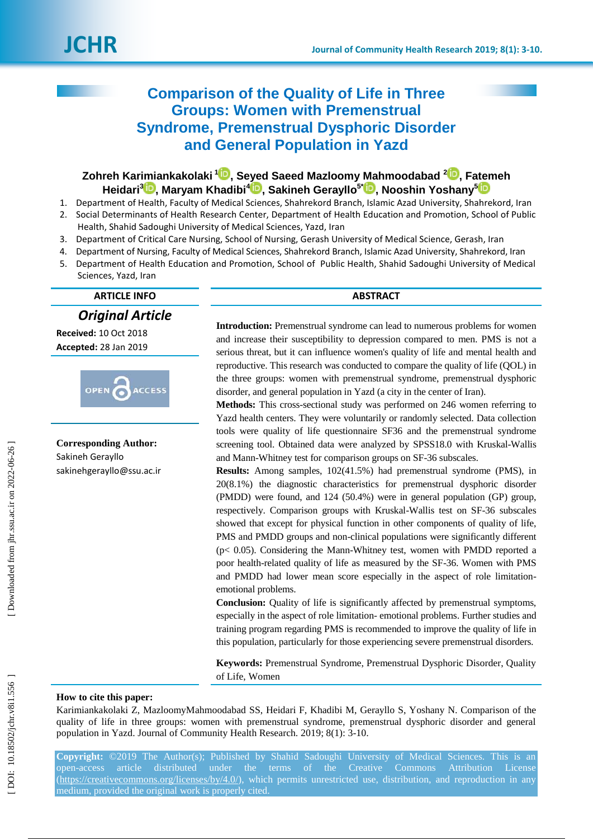# **Comparison of the Quality of Life in Three Groups: Women with Premenstrual Syndrome, Premenstrual Dysphoric Disorder and General Population in Yazd**

# $\mathsf{Zohreh}$  Karimiankakolaki  $^{\mathsf{1}\textcolor{red}{\bullet}\bullet}$ [,](https://orcid.org/0000-0002-3301-3305) Seyed Saeed Mazloomy Mahmoodabad  $^{\mathsf{2}\textcolor{red}{\bullet}\bullet}$ , Fatemeh **Heidari 3 [,](https://orcid.org/0000-0001-8880-1467) Maryam Khadibi 4 [,](https://orcid.org/0000-0002-8698-4367) Sakineh Gerayllo 5 \* [,](https://orcid.org/0000-0003-4590-2529) Nooshin Yoshany [5](https://orcid.org/0000-0003-2955-400X)**

- 1. Department of Health, Faculty of Medical Sciences, Shahrekord Branch, Islamic Azad University, Shahrekord, Iran 2. Social Determinants of Health Research Center, Department of Health Education and Promotion, School of Public Health, Shahid Sadoughi University of Medical Sciences, Yazd, Iran
- 3. Department of Critical Care Nursing, School of Nursing, Gerash University of Medical Science, Gerash, Iran
- 4. Department of Nursing, Faculty of Medical Sciences, Shahrekord Branch, Islamic Azad University, Shahrekord, Iran
- 5. Department of Health Education and Promotion, School of Public Health, Shahid Sadoughi University of Medical Sciences, Yazd, Iran

*Original Article*

**Received:** 10 Oct 2018 **Accepted:** 28 Jan 201 9



**Corresponding Author:** Sakineh Gerayllo sakine[hgerayllo@ssu.ac.ir](mailto:gerayllo@ssu.ac.ir)

#### **ARTICLE INFO ABSTRACT**

**Introduction:** Premenstrual syndrome can lead to numerous problems for women and increase their susceptibility to depression compared to men. PMS is not a serious threat, but it can influence women's quality of life and mental health and reproductive. This research was conducted to compare the quality of life (QOL) in the three groups: women with premenstrual syndrome, premenstrual dysphoric disorder, and general population in Yazd (a city in the center of Iran).

**Methods:** This cross -sectional study was performed on 246 women referring to Yazd health centers. They were voluntarily or randomly selected. Data collection tools were quality of life questionnaire SF36 and the premenstrual syndrome screening tool. Obtained data were analyzed by SPSS18.0 with Kruskal-Wallis and Mann -Whitney test for comparison groups on SF -36 subscales.

**Results:** Among samples, 102(41.5%) had premenstrual syndrome (PMS), in 20(8.1%) the diagnostic characteristics for premenstrual dysphoric disorder (PMDD) were found, and 124 (50.4%) were in general population (GP) group, respectively. Comparison groups with Kruskal -Wallis test on SF -36 subscales showed that except for physical function in other components of quality of life, PMS and PMDD groups and non-clinical populations were significantly different (p< 0.05). Considering the Mann -Whitney test, women with PMDD reported a poor health -related quality of life as measured by the SF -36. Women with PMS and PMDD had lower mean score especially in the aspect of role limitation emotional problems.

**Conclusion:** Quality of life is significantly affected by premenstrual symptoms, especially in the aspect of role limitation - emotional problems. Further studies and training program regarding PMS is recommended to improve the quality of life in this population, particularly for those experiencing severe premenstrual disorders.

**Keywords:** Premenstrual Syndrome, Premenstrual Dysphoric Disorder, Quality of Life, Women

#### **How to cite this paper:**

Karimiankakolaki Z, MazloomyMahmoodabad SS, Heidari F, Khadibi M, Gerayllo S, Yoshany N. Comparison of the quality of life in three groups: women with premenstrual syndrome, premenstrual dysphoric disorder and general population in Yazd. Journal of Community Health Research. 2019; 8(1): 3-10.

**Copyright:** ©2019 The Author(s); Published by Shahid Sadoughi University of Medical Sciences. This is an open-access article distributed under the terms of the Creative Commons Attribution License [\(https://creativecommons.org/licenses/by/4.0/\)](https://creativecommons.org/licenses/by/4.0/), which permits unrestricted use, distribution, and reproduction in any medium, provided the original work is properly cited.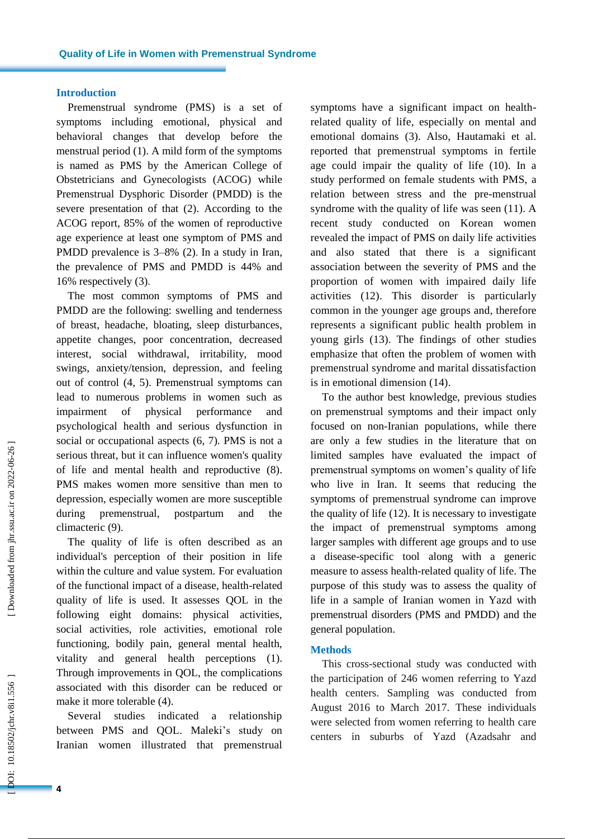#### **Introduction**

Premenstrual syndrome (PMS) is a set of symptoms including emotional, physical and behavioral changes that develop before the menstrual period ( 1 ) . A mild form of the symptoms is named as PMS by the American College of Obstetricians and Gynecologists (ACOG) while Premenstrual Dysphoric Disorder (PMDD) is the severe presentation of that ( 2 ). According to the ACOG report, 85% of the women of reproductive age experience at least one symptom of PMS and PMDD prevalence is 3–8% (2). In a study in Iran, the prevalence of PMS and PMDD is 44% and 16% respectively ( 3 ) .

The most common symptoms of PMS and PMDD are the following: swelling and tenderness of breast, headache, bloating, sleep disturbances, appetite changes, poor concentration, decreased interest, social withdrawal, irritability, mood swings, anxiety/tension, depression, and feeling out of control ( 4, 5 ) . Premenstrual symptoms can lead to numerous problems in women such as impairment of physical performance and psychological health and serious dysfunction in social or occupational aspects  $(6, 7)$ . PMS is not a serious threat, but it can influence women's quality of life and mental health and reproductive (8). PMS make s women more sensitive than men to depression, especially women are more susceptible during premenstrual, postpartum and the climacteric ( 9 ) .

The quality of life is often described as an individual's perception of their position in life within the culture and value system. For evaluation of the functional impact of a disease, health -related quality of life is used. It assesses QOL in the following eight domains: physical activities, social activities, role activities, emotional role functioning, bodily pain, general mental health, vitality and general health perceptions (1). Through improvements in QOL, the complications associated with this disorder can be reduced or make it more tolerable (4).

Several studies indicated a relationship between PMS and QOL. Maleki's study on Iranian women illustrated that premenstrual

symptoms have a significant impact on health related quality of life, especially on mental and emotional domains ( 3 ) . Also, Hautamaki et al. reported that premenstrual symptoms in fertile age could impair the quality of life (10 ) . In a study performed on female students with PMS, a relation between stress and the pre -menstrual syndrome with the quality of life was seen (11 ) . A recent study conducted on Korean women revealed the impact of PMS on daily life activities and also stated that there is a significant association between the severity of PMS and the proportion of women with impaired daily life activities (12 ) . This disorder is particularly common in the younger age groups and, therefore represents a significant public health problem in young girls (13 ) . The findings of other studies emphasize that often the problem of women with premenstrual syndrome and marital dissatisfaction is in emotional dimension (14 ) .

To the author best knowledge, previous studies on premenstrual symptoms and their impact only focused on non -Iranian populations, while there are only a few studies in the literature that on limited samples have evaluated the impact of premenstrual symptoms on women's quality of life who live in Iran. It seems that reducing the symptoms of premenstrual syndrome can improve the quality of life (12 ) . It is necessary to investigate the impact of premenstrual symptoms among larger samples with different age groups and to use a disease -specific tool along with a generic measure to assess health -related quality of life. The purpose of this study was to assess the quality of life in a sample of Iranian women in Yazd with premenstrual disorders (PMS and PMDD) and the general population .

#### **Methods**

This cross -sectional study was conducted with the participation of 246 women referring to Yazd health centers. Sampling was conducted from August 2016 to March 2017. These individuals were selected from women referring to health care centers in suburbs of Yazd (Azadsahr and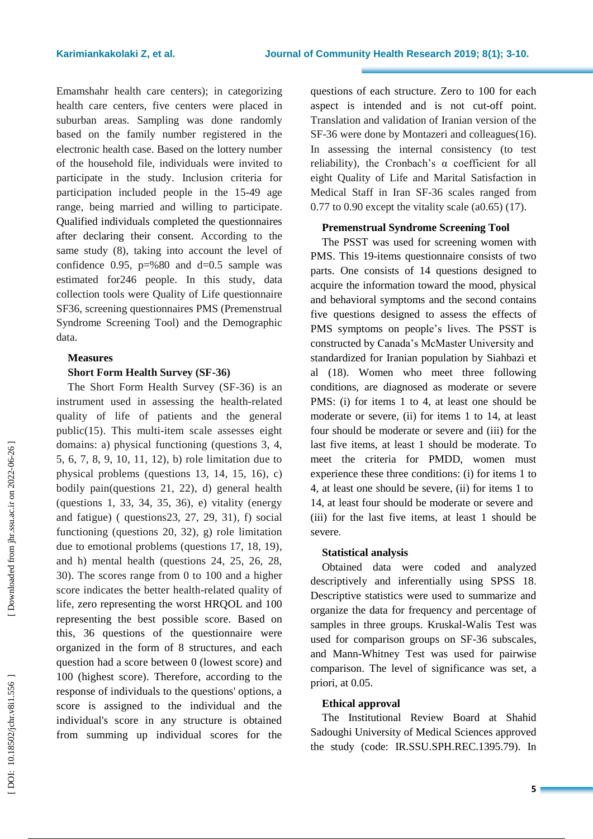Emamshahr health care centers); in categorizing health care centers, five centers were placed in suburban areas. Sampling was done randomly based on the family number registered in the electronic health case. Based on the lottery number of the household file, individuals were invited to participate in the study . Inclusion criteria for participation included people in the 15 -49 age range, being married and willing to participate. Qualified individuals completed the questionnaires after declaring their consent. According to the same study ( 8 ), taking into account the level of confidence 0.95,  $p=$  %80 and d=0.5 sample was estimated for246 people. In this study , data collection tools were Quality of Life questionnaire SF36, screening questionnaires PMS (Premenstrual Syndrome Screening Tool) and the Demographic data.

# **Measures**

# **Short Form Health Survey (SF -36)**

The Short Form Health Survey (SF -36) is an instrument used in assessing the health -related quality of life of patients and the general public (15 ). This multi -item scale assesses eight domains: a) physical functioning (questions 3, 4, 5, 6, 7, 8, 9, 10, 11, 12), b) role limitation due to physical problems (questions 13, 14, 15, 16), c) bodily pain(questions 21, 22), d) general health (questions 1, 33, 34, 35, 36), e) vitality (energy and fatigue) ( questions23, 27, 29, 31), f) social functioning (questions 20, 32), g) role limitation due to emotional problems (questions 17, 18, 19), and h) mental health (questions 24, 25, 26, 28, 30). The scores range from 0 to 100 and a higher score indicates the better health -related quality of life, zero representing the worst HRQOL and 100 representing the best possible score. Based on this, 36 questions of the questionnaire were organized in the form of 8 structures , and each question had a score between 0 (lowest score) and 100 (highest score). Therefore, according to the response of individuals to the questions' options, a score is assigned to the individual and the individual's score in any structure is obtained from summing up individual scores for the

questions of each structure. Zero to 100 for each aspect is intended and is not cut-off point. Translation and validation of Iranian version of the SF -36 were done by Montazeri and colleagues (16 ). In assessing the internal consistency (to test reliability), the Cronbach's α coefficient for all eight Quality of Life and Marital Satisfaction in Medical Staff in Iran SF -36 scales ranged from 0.77 to 0.90 except the vitality scale (a0.65) (17 ) .

# **Premenstrual Syndrome Screening Tool**

The PSST was used for screening women with PMS. This 19 -items questionnaire consists of two parts. One consists of 14 questions designed to acquire the information toward the mood, physical and behavioral symptoms and the second contains five questions designed to assess the effects of PMS symptoms on people's lives. The PSST is constructed by Canada's McMaster University and standardized for Iranian population by Siahbazi et al (18 ) . Women who meet three following conditions, are diagnosed as moderate or severe PMS: (i) for items 1 to 4, at least one should be moderate or severe, (ii) for items 1 to 14, at least four should be moderate or severe and (iii) for the last five items, at least 1 should be moderate . To meet the criteria for PMDD, women must experience these three conditions : (i) for items 1 to 4, at least one should be severe, (ii) for items 1 to 14, at least four should be moderate or severe and (iii) for the last five items, at least 1 should be severe .

# **Statistical analysis**

Obtained data were coded and analyzed descriptively and inferentially using SPSS 18 . Descriptive statistics were used to summarize and organize the data for frequency and percentage of samples in three groups. Kruskal -Walis Test was used for comparison groups on SF -36 subscales, and Mann -Whitney Test was used for pairwise comparison. The level of significance was set, a priori, at 0.05.

# **Ethical approval**

The Institutional Review Board at Shahid Sadoughi University of Medical Sciences approved the study (code: IR.SSU.SPH.REC.1395.79) . In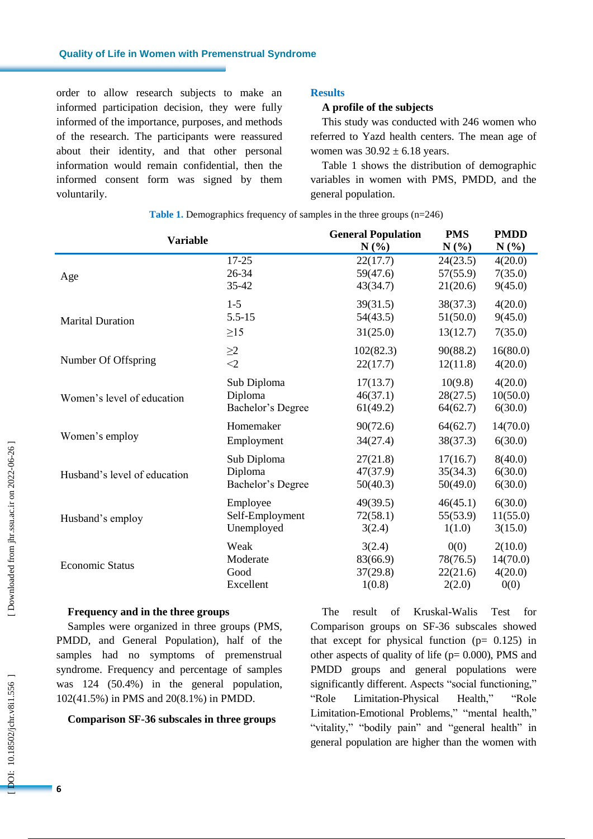order to allow research subjects to make an informed participation decision, they were fully informed of the importance, purposes , and methods of the research. The participants were reassured about their identity , and that other personal information would remain confidential , then the informed consent form was signed by them voluntarily .

# **Results**

## **A profile of the subjects**

This study was conducted with 246 women who referred to Yazd health centers. The mean age of women was  $30.92 \pm 6.18$  years.

Table 1 shows the distribution of demographic variables in women with PMS, PMDD, and the general population.

| <b>Variable</b>              | <b>General Population</b> | <b>PMS</b> | <b>PMDD</b> |          |
|------------------------------|---------------------------|------------|-------------|----------|
|                              | $N(\%)$                   | $N(\%)$    | N(%)        |          |
| Age                          | $17 - 25$                 | 22(17.7)   | 24(23.5)    | 4(20.0)  |
|                              | 26-34                     | 59(47.6)   | 57(55.9)    | 7(35.0)  |
|                              | 35-42                     | 43(34.7)   | 21(20.6)    | 9(45.0)  |
| <b>Marital Duration</b>      | $1 - 5$                   | 39(31.5)   | 38(37.3)    | 4(20.0)  |
|                              | $5.5 - 15$                | 54(43.5)   | 51(50.0)    | 9(45.0)  |
|                              | $\geq$ 15                 | 31(25.0)   | 13(12.7)    | 7(35.0)  |
| Number Of Offspring          | $\geq$ 2                  | 102(82.3)  | 90(88.2)    | 16(80.0) |
|                              | $<$ 2                     | 22(17.7)   | 12(11.8)    | 4(20.0)  |
| Women's level of education   | Sub Diploma               | 17(13.7)   | 10(9.8)     | 4(20.0)  |
|                              | Diploma                   | 46(37.1)   | 28(27.5)    | 10(50.0) |
|                              | Bachelor's Degree         | 61(49.2)   | 64(62.7)    | 6(30.0)  |
| Women's employ               | Homemaker                 | 90(72.6)   | 64(62.7)    | 14(70.0) |
|                              | Employment                | 34(27.4)   | 38(37.3)    | 6(30.0)  |
| Husband's level of education | Sub Diploma               | 27(21.8)   | 17(16.7)    | 8(40.0)  |
|                              | Diploma                   | 47(37.9)   | 35(34.3)    | 6(30.0)  |
|                              | Bachelor's Degree         | 50(40.3)   | 50(49.0)    | 6(30.0)  |
| Husband's employ             | Employee                  | 49(39.5)   | 46(45.1)    | 6(30.0)  |
|                              | Self-Employment           | 72(58.1)   | 55(53.9)    | 11(55.0) |
|                              | Unemployed                | 3(2.4)     | 1(1.0)      | 3(15.0)  |
| <b>Economic Status</b>       | Weak                      | 3(2.4)     | 0(0)        | 2(10.0)  |
|                              | Moderate                  | 83(66.9)   | 78(76.5)    | 14(70.0) |
|                              | Good                      | 37(29.8)   | 22(21.6)    | 4(20.0)  |
|                              | Excellent                 | 1(0.8)     | 2(2.0)      | 0(0)     |

**Table 1 .** Demographics frequency of samples in the three groups (n=246)

#### **Frequency and in the three groups**

Sample s were organized in t hree groups (PMS, PMDD , and General Population), half of the samples had no symptoms of premenstrual syndrome. Frequency and percentage of samples was 124 (50.4%) in the general population, 102(41.5%) in PMS and 20(8.1%) in PMDD .

#### **Comparison SF -36 subscales in t hree groups**

The result of Kruskal -Walis Test for Comparison groups on SF -36 subscales showed that except for physical function  $(p= 0.125)$  in other aspects of quality of life ( $p= 0.000$ ), PMS and PMDD groups and general populations were significantly different. Aspects "social functioning," "Role Limitation-Physical Health," "Role Limitation -Emotional Problems," "mental health," "vitality," "bodily pain" and "general health" in general population are higher than the women with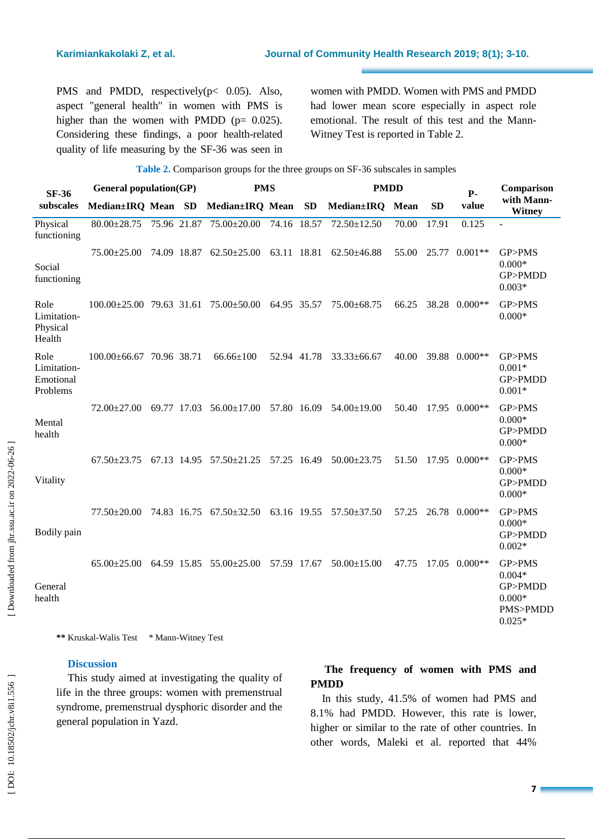PMS and PMDD, respectively (p< 0.05). Also, aspect "general health" in women with PMS is higher than the women with PMDD ( $p= 0.025$ ). Considering these findings , a poor health -related quality of life measuring by the SF -36 was seen in women with PMDD. Women with PMS and PMDD had lower mean score especially in aspect role emotional. The result of this test and the Mann - Witney Test is reported in Table 2 .

| <b>Table 2.</b> Comparison groups for the three groups on SF-36 subscales in samples |                               |  |  |                                                                                 |             |             |                   |       |           |                     |                                                                   |
|--------------------------------------------------------------------------------------|-------------------------------|--|--|---------------------------------------------------------------------------------|-------------|-------------|-------------------|-------|-----------|---------------------|-------------------------------------------------------------------|
| <b>SF-36</b>                                                                         | <b>General population(GP)</b> |  |  | <b>PMS</b>                                                                      |             | <b>PMDD</b> |                   |       | $P-$      | Comparison          |                                                                   |
| subscales                                                                            | Median±IRQ Mean SD            |  |  | Median±IRQ Mean SD                                                              |             |             | Median±IRQ Mean   |       | <b>SD</b> | value               | with Mann-<br><b>Witney</b>                                       |
| Physical<br>functioning                                                              |                               |  |  | 80.00±28.75 75.96 21.87 75.00±20.00 74.16 18.57                                 |             |             | 72.50±12.50       | 70.00 | 17.91     | 0.125               |                                                                   |
| Social<br>functioning                                                                | $75.00 \pm 25.00$             |  |  | 74.09 18.87 62.50±25.00                                                         | 63.11 18.81 |             | $62.50\pm46.88$   | 55.00 | 25.77     | $0.001**$           | GP>PMS<br>$0.000*$<br>GP>PMDD<br>$0.003*$                         |
| Role<br>Limitation-<br>Physical<br>Health                                            |                               |  |  | $100.00\pm25.00$ 79.63 31.61 75.00 $\pm50.00$ 64.95 35.57                       |             |             | 75.00±68.75       |       |           | 66.25 38.28 0.000** | GP>PMS<br>$0.000*$                                                |
| Role<br>Limitation-<br>Emotional<br>Problems                                         | $100.00\pm 66.67$ 70.96 38.71 |  |  | $66.66 \pm 100$                                                                 |             | 52.94 41.78 | $33.33 \pm 66.67$ | 40.00 | 39.88     | $0.000**$           | GP>PMS<br>$0.001*$<br>GP>PMDD<br>$0.001*$                         |
| Mental<br>health                                                                     |                               |  |  | $72.00\pm27.00$ 69.77 17.03 56.00 $\pm17.00$ 57.80 16.09 54.00 $\pm19.00$       |             |             |                   |       |           | 50.40 17.95 0.000** | GP>PMS<br>$0.000*$<br>GP>PMDD<br>$0.000*$                         |
| Vitality                                                                             |                               |  |  | $67.50\pm23.75$ $67.13$ $14.95$ $57.50\pm21.25$ $57.25$ $16.49$ $50.00\pm23.75$ |             |             |                   |       |           | 51.50 17.95 0.000** | GP>PMS<br>$0.000*$<br>GP>PMDD<br>$0.000*$                         |
| Bodily pain                                                                          | $77.50 \pm 20.00$             |  |  | 74.83 16.75 67.50±32.50 63.16 19.55 57.50±37.50                                 |             |             |                   | 57.25 | 26.78     | $0.000**$           | GP>PMS<br>$0.000*$<br>GP>PMDD<br>$0.002*$                         |
| General<br>health                                                                    |                               |  |  | 65.00 ± 25.00 64.59 15.85 55.00 ± 25.00 57.59 17.67                             |             |             | $50.00 \pm 15.00$ | 47.75 | 17.05     | $0.000**$           | GP>PMS<br>$0.004*$<br>GP>PMDD<br>$0.000*$<br>PMS>PMDD<br>$0.025*$ |

\*\* Kruskal-Walis Test \* Mann-Witney Test

### **Discussion**

This study aimed at investigating the quality of life in the t hree groups: women with premenstrual syndrome, premenstrual dysphoric disorder and the general population in Yazd.

# **The frequency of women with PMS and PMDD**

In this study , 41.5 % of women had PMS and 8.1% had PMDD . However, this rate is lower, higher or similar to the rate of other countries. In other words , Maleki et al. reported that 44%

Downloaded from jhr.ssu.ac.ir on 2022-06-26 ]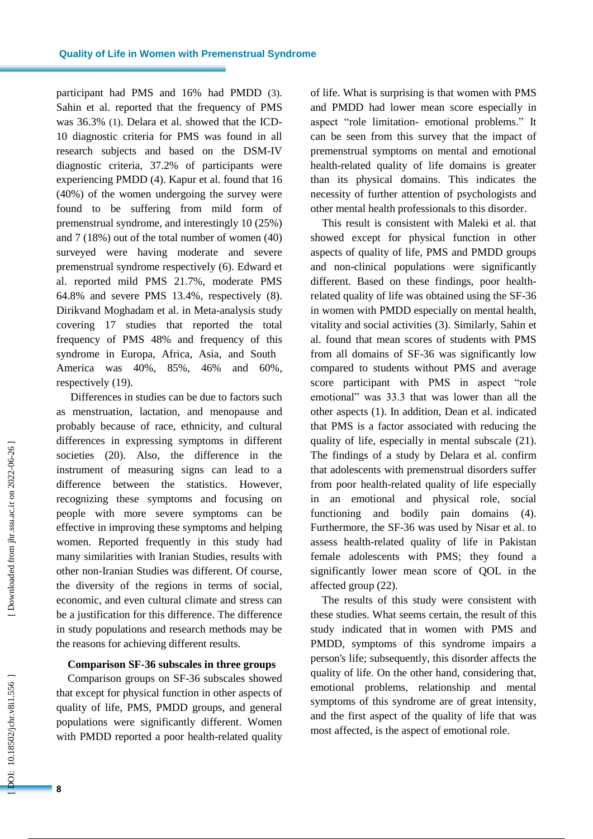participant had PMS and 16% had PMDD ( 3 ). Sahin et al. reported that the frequency of PMS was 36.3% ( 1 ). Delara et al. showed that the ICD - 10 diagnostic criteria for PMS was found in all research subjects and based on the DSM-IV diagnostic criteria, 37.2% of participants were experiencing PMDD ( 4 ). Kapur et al. found that 16 (40%) of the women undergoing the survey were found to be suffering from mild form of premenstrual syndrome , and interestingly 10 (25%) and 7 (18%) out of the total number of women (40) surveyed were having moderate and severe premenstrual syndrome respectively ( 6 ) . Edward et al. reported mild PMS 21.7%, moderate PMS 64.8% and severe PMS 13.4% , respectively ( 8 ) . Dirikvand Moghadam et al. in Meta -analysis study covering 17 studies that reported the total frequency of PMS 48% and frequency of this syndrome in Europa, Africa, Asia , and South America was 40%, 85%, 46% and 60% , respectively (19 ) .

Differences in studies can be due to factors such as menstruation, lactation , and menopause and probably because of race, ethnicity, and cultural differences in expressing symptoms in different societies (20 ). Also, the difference in the instrument of measuring signs can lead to a difference between the statistics. However, recognizing these symptoms and focusing on people with more severe symptoms can be effective in improving these symptoms and helping women. Reported frequently in this study had many similarities with Iranian Studies, results with other non -Iranian Studies was different. Of course, the diversity of the regions in terms of social, economic, and even cultural climate and stress can be a justification for this difference. The difference in study populations and research methods may be the reasons for achieving different results.

#### **Comparison SF -36 subscales in t hree groups**

Comparison groups on SF -36 subscales showed that except for physical function in other aspects of quality of life, PMS, PMDD groups, and general populations were significantly different . Women with PMDD reported a poor health -related quality of life. What is surprising is that women with PMS and PMDD had lower mean score especially in aspect "role limitation - emotional problems." It can be seen from this survey that the impact of premenstrual symptoms on mental and emotional health -related quality of life domains is greater than its physical domains. This indicates the necessity of further attention of psychologists and other mental health professionals to this disorder.

This result is consistent with Maleki et al. that showed except for physical function in other aspects of quality of life, PMS and PMDD groups and non -clinical populations were significantly different. Based on these findings, poor health related quality of life was obtained using the SF -36 in women with PMDD especially on mental health, vitality and social activities ( 3 ). Similarly, Sahin et al. found that mean scores of students with PMS from all domains of SF -36 was significantly low compared to students without PMS and average score participant with PMS in aspect "role emotional" was 33.3 that was lower than all the other aspects ( 1 ) . In addition , Dean et al. indicated that PMS is a factor associated with reducing the quality of life, especially in mental subscale (21). The findings of a study by Delara et al. confirm that adolescents with premenstrual disorders suffer from poor health -related quality of life especially in an emotional and physical role, social functioning and bodily pain domains (4). Furthermore , the SF -36 was used by Nisar et al. to assess health -related quality of life in Pakistan female adolescents with PMS ; they found a significantly lower mean score of QOL in the affected group (22 ) .

The results of this study were consistent with these studies. What seems certain , the result of this study indicated that in women with PMS and PMDD, symptoms of this syndrome impairs a person's life ; subsequently, this disorder affects the quality of life . On the other hand, considering that, emotional problems, relationship and mental symptoms of this syndrome are of great intensity, and the first aspect of the quality of life that was most affected, is the aspect of emotional role.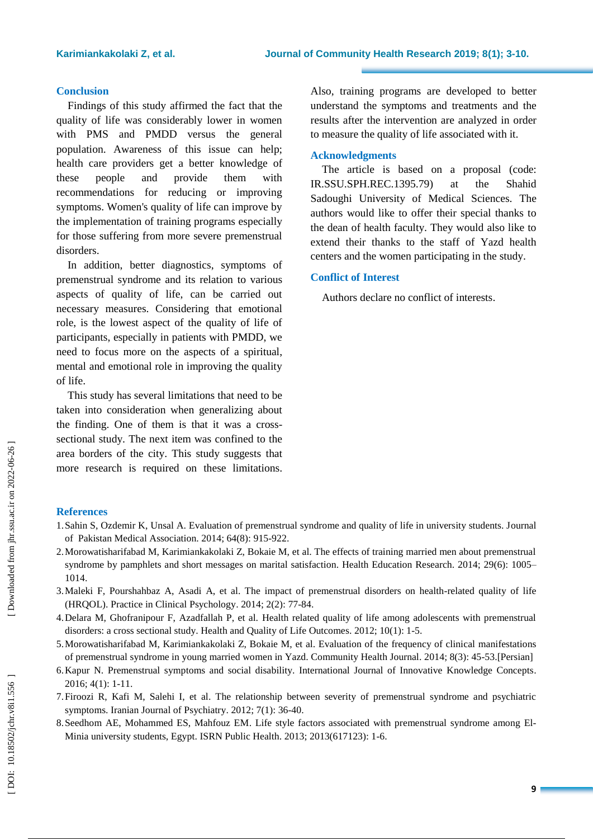#### **Conclusion**

Findings of this study affirmed the fact that the quality of life was considerably lower in women with PMS and PMDD versus the general population. Awareness of this issue can help; health care providers get a better knowledge of these people and provide them with recommendations for reducing or improving symptoms . Women's quality of life can improve by the implementation of training programs especially for those suffering from more severe premenstrual disorders.

In addition, better diagnostics, symptoms of premenstrual syndrome and its relation to various aspects of quality of life, can be carried out necessary measures. Considering that emotional role, is the lowest aspect of the quality of life of participants, especially in patients with PMDD, we need to focus more on the aspects of a spiritual, mental and emotional role in improving the quality of life.

This study has several limitations that need to be taken into consideration when generalizing about the finding. One of them is that it was a cross sectional study. The next item was confined to the area borders of the city. This study suggests that more research is required on these limitations.

Also, training programs ar e developed to better understand the symptoms and treatments and the results after the intervention are analyzed in order to measure the quality of life associated with it.

#### **Acknowledgments**

The article is based on a proposal (code: IR.SSU.SPH.REC.1395.79) at the Shahid Sadoughi University of Medical Sciences. The authors would like to offer their special thanks to the dean of health faculty. They would also like to extend their thanks to the staff of Yazd health centers and the women participating in the study.

### **Conflict of Interest**

Authors declare no conflict of interests .

# **References**

- 1.Sahin S, Ozdemir K, Unsal A. Evaluation of premenstrual syndrome and quality of life in university students. Journal of Pakistan Medical Association. 2014; 64(8): 915 -922.
- 2.Morowatisharifabad M, Karimiankakolaki Z, Bokaie M, et al. The effects of training married men about premenstrual syndrome by pamphlets and short messages on marital satisfaction. Health Education Research. 2014; 29(6): 1005-1014.
- 3.Maleki F, Pourshahbaz A, Asadi A, et al. The impact of premenstrual disorders on health -related quality of life (HRQOL). Practice in Clinical Psychology . 2014; 2(2): 77 -84.
- 4.Delara M, Ghofranipour F, Azadfallah P, et al. Health related quality of life among adolescents with premenstrual disorders: a cross sectional study. Health and Quality of Life Outcomes. 2012; 10(1): 1-5.
- 5.Morowatisharifabad M, Karimiankakolaki Z, Bokaie M, et al. Evaluation of the frequency of clinical manifestations of premenstrual syndrome in young married women in Yazd. Community Health Journal . 2014; 8(3): 45 -53.[Persian]
- 6.Kapur N. Premenstrual symptoms and social disability. International Journal of Innovative Knowledge Concepts . 2016; 4(1): 1 -11.
- 7.Firoozi R, Kafi M, Salehi I, et al. The relationship between severity of premenstrual syndrome and psychiatric symptoms. Iranian Journal of Psychiatry. 2012; 7(1): 36-40.
- 8.Seedhom AE, Mohammed ES, Mahfouz EM. Life style factors associated with premenstrual syndrome among El Minia university students, Egypt. ISRN Public Health . 2013; 2013(617123): 1 -6.